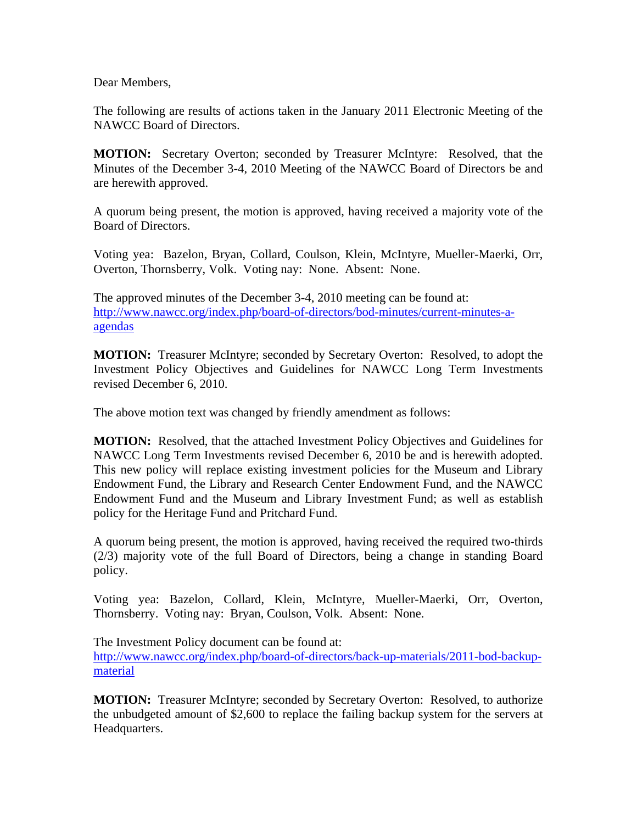Dear Members,

The following are results of actions taken in the January 2011 Electronic Meeting of the NAWCC Board of Directors.

**MOTION:** Secretary Overton; seconded by Treasurer McIntyre: Resolved, that the Minutes of the December 3-4, 2010 Meeting of the NAWCC Board of Directors be and are herewith approved.

A quorum being present, the motion is approved, having received a majority vote of the Board of Directors.

Voting yea: Bazelon, Bryan, Collard, Coulson, Klein, McIntyre, Mueller-Maerki, Orr, Overton, Thornsberry, Volk. Voting nay: None. Absent: None.

The approved minutes of the December 3-4, 2010 meeting can be found at: [http://www.nawcc.org/index.php/board-of-directors/bod-minutes/current-minutes-a](http://www.nawcc.org/index.php/board-of-directors/bod-minutes/current-minutes-a-agendas)[agendas](http://www.nawcc.org/index.php/board-of-directors/bod-minutes/current-minutes-a-agendas) 

**MOTION:** Treasurer McIntyre; seconded by Secretary Overton: Resolved, to adopt the Investment Policy Objectives and Guidelines for NAWCC Long Term Investments revised December 6, 2010.

The above motion text was changed by friendly amendment as follows:

**MOTION:** Resolved, that the attached Investment Policy Objectives and Guidelines for NAWCC Long Term Investments revised December 6, 2010 be and is herewith adopted. This new policy will replace existing investment policies for the Museum and Library Endowment Fund, the Library and Research Center Endowment Fund, and the NAWCC Endowment Fund and the Museum and Library Investment Fund; as well as establish policy for the Heritage Fund and Pritchard Fund.

A quorum being present, the motion is approved, having received the required two-thirds (2/3) majority vote of the full Board of Directors, being a change in standing Board policy.

Voting yea: Bazelon, Collard, Klein, McIntyre, Mueller-Maerki, Orr, Overton, Thornsberry. Voting nay: Bryan, Coulson, Volk. Absent: None.

The Investment Policy document can be found at: [http://www.nawcc.org/index.php/board-of-directors/back-up-materials/2011-bod-backup](http://www.nawcc.org/index.php/board-of-directors/back-up-materials/2011-bod-backup-material)[material](http://www.nawcc.org/index.php/board-of-directors/back-up-materials/2011-bod-backup-material)

**MOTION:** Treasurer McIntyre; seconded by Secretary Overton: Resolved, to authorize the unbudgeted amount of \$2,600 to replace the failing backup system for the servers at Headquarters.